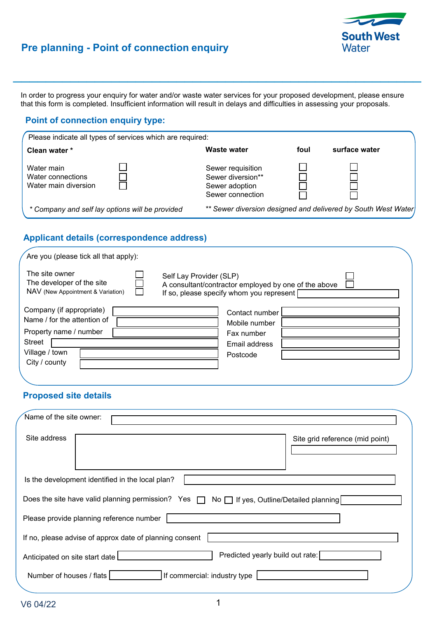

# **Pre planning - Point of connection enquiry**

In order to progress your enquiry for water and/or waste water services for your proposed development, please ensure that this form is completed. Insufficient information will result in delays and difficulties in assessing your proposals.

 $\mathcal{L}_\text{max}$  and the contract of the contract of the contract of the contract of the contract of the contract of the contract of the contract of the contract of the contract of the contract of the contract of the contrac

### **Point of connection enquiry type:**

| Please indicate all types of services which are required: |                                                                              |      |                                                               |  |
|-----------------------------------------------------------|------------------------------------------------------------------------------|------|---------------------------------------------------------------|--|
| Clean water *                                             | Waste water                                                                  | foul | surface water                                                 |  |
| Water main<br>Water connections<br>Water main diversion   | Sewer requisition<br>Sewer diversion**<br>Sewer adoption<br>Sewer connection |      |                                                               |  |
| * Company and self lay options will be provided           |                                                                              |      | ** Sewer diversion designed and delivered by South West Water |  |

# **Applicant details (correspondence address)**

| The site owner<br>The developer of the site<br>NAV (New Appointment & Variation)                                               |  | Self Lay Provider (SLP)<br>A consultant/contractor employed by one of the above<br>If so, please specify whom you represent [ |                                                                            |  |
|--------------------------------------------------------------------------------------------------------------------------------|--|-------------------------------------------------------------------------------------------------------------------------------|----------------------------------------------------------------------------|--|
| Company (if appropriate)<br>Name / for the attention of<br>Property name / number<br>Street<br>Village / town<br>City / county |  |                                                                                                                               | Contact number<br>Mobile number<br>Fax number<br>Email address<br>Postcode |  |

# **Proposed site details**

| Name of the site owner:        |                                                         |                                                                                            |
|--------------------------------|---------------------------------------------------------|--------------------------------------------------------------------------------------------|
| Site address                   |                                                         | Site grid reference (mid point)                                                            |
|                                | Is the development identified in the local plan?        |                                                                                            |
|                                |                                                         | Does the site have valid planning permission? Yes □ No □ If yes, Outline/Detailed planning |
|                                | Please provide planning reference number                |                                                                                            |
|                                | If no, please advise of approx date of planning consent |                                                                                            |
| Anticipated on site start date |                                                         | Predicted yearly build out rate:                                                           |
| Number of houses / flats       |                                                         | If commercial: industry type                                                               |
|                                |                                                         |                                                                                            |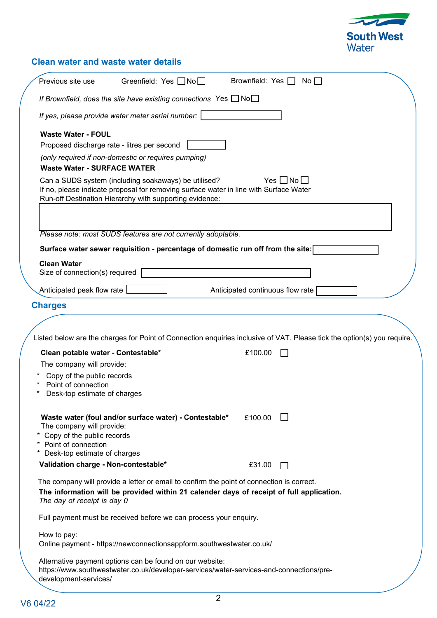

# **Clean water and waste water details**

| Previous site use<br>Greenfield: Yes $\Box$ No $\Box$                                                                                                                                                                | Brownfield: Yes $\Box$ No $\Box$                                                                                        |
|----------------------------------------------------------------------------------------------------------------------------------------------------------------------------------------------------------------------|-------------------------------------------------------------------------------------------------------------------------|
| If Brownfield, does the site have existing connections Yes $\Box$ No $\Box$                                                                                                                                          |                                                                                                                         |
| If yes, please provide water meter serial number:                                                                                                                                                                    |                                                                                                                         |
| <b>Waste Water - FOUL</b><br>Proposed discharge rate - litres per second<br>(only required if non-domestic or requires pumping)<br><b>Waste Water - SURFACE WATER</b>                                                |                                                                                                                         |
| Can a SUDS system (including soakaways) be utilised?<br>If no, please indicate proposal for removing surface water in line with Surface Water<br>Run-off Destination Hierarchy with supporting evidence:             | Yes $\Box$ No $\Box$                                                                                                    |
| Please note: most SUDS features are not currently adoptable.                                                                                                                                                         |                                                                                                                         |
| Surface water sewer requisition - percentage of domestic run off from the site:                                                                                                                                      |                                                                                                                         |
| <b>Clean Water</b>                                                                                                                                                                                                   |                                                                                                                         |
| Size of connection(s) required                                                                                                                                                                                       |                                                                                                                         |
| Anticipated peak flow rate                                                                                                                                                                                           | Anticipated continuous flow rate                                                                                        |
| <b>Charges</b>                                                                                                                                                                                                       |                                                                                                                         |
|                                                                                                                                                                                                                      |                                                                                                                         |
|                                                                                                                                                                                                                      | Listed below are the charges for Point of Connection enquiries inclusive of VAT. Please tick the option(s) you require. |
| Clean potable water - Contestable*                                                                                                                                                                                   | £100.00                                                                                                                 |
| The company will provide:                                                                                                                                                                                            |                                                                                                                         |
| Copy of the public records<br>Point of connection<br>Desk-top estimate of charges                                                                                                                                    |                                                                                                                         |
| Waste water (foul and/or surface water) - Contestable*<br>The company will provide:<br>Copy of the public records<br>Point of connection<br>Desk-top estimate of charges                                             | £100.00                                                                                                                 |
| Validation charge - Non-contestable*                                                                                                                                                                                 | £31.00<br>$\mathbf{L}$                                                                                                  |
| The company will provide a letter or email to confirm the point of connection is correct.<br>The information will be provided within 21 calender days of receipt of full application.<br>The day of receipt is day 0 |                                                                                                                         |
| Full payment must be received before we can process your enquiry.                                                                                                                                                    |                                                                                                                         |
| How to pay:<br>Online payment - https://newconnectionsappform.southwestwater.co.uk/                                                                                                                                  |                                                                                                                         |
| Alternative payment options can be found on our website:<br>https://www.southwestwater.co.uk/developer-services/water-services-and-connections/pre-<br>development-services/                                         |                                                                                                                         |
| V6 04/22                                                                                                                                                                                                             | 2                                                                                                                       |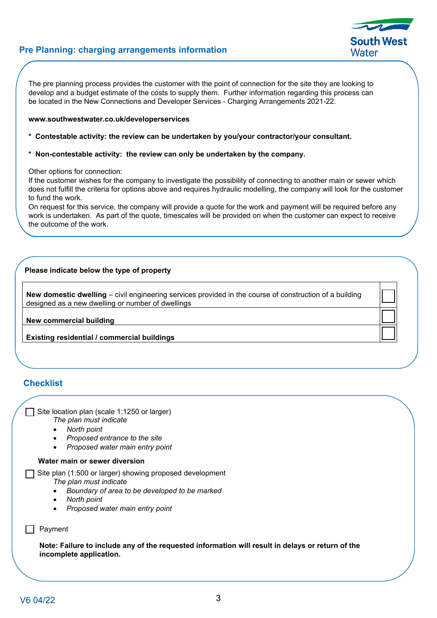### **Pre Planning: charging arrangements information**

The pre planning process provides the customer with the point of connection for the site they are looking to develop and a budget estimate of the costs to supply them. Further information regarding this process can be located in the New Connections and Developer Services - Charging Arrangements 2021-22.

#### **www.southwestwater.co.uk/developerservices**

- **\* Contestable activity: the review can be undertaken by you/your contractor/your consultant.**
- **\* Non-contestable activity: the review can only be undertaken by the company.**

Other options for connection:

If the customer wishes for the company to investigate the possibility of connecting to another main or sewer which does not fulfill the criteria for options above and requires hydraulic modelling, the company will look for the customer to fund the work.

On request for this service, the company will provide a quote for the work and payment will be required before any work is undertaken. As part of the quote, timescales will be provided on when the customer can expect to receive the outcome of the work.

### **Please indicate below the type of property**

**New domestic dwelling** – civil engineering services provided in the course of construction of a building designed as a new dwelling or number of dwellings

**New commercial building**

**Existing residential / commercial buildings**

### **Checklist**

Site location plan (scale 1:1250 or larger) *The plan must indicate* 

- *North point*
- *Proposed entrance to the site*
- *Proposed water main entry point*

#### **Water main or sewer diversion**

 Site plan (1:500 or larger) showing proposed development *The plan must indicate* 

- *Boundary of area to be developed to be marked*
- *North point*
- *Proposed water main entry point*

 $\Box$  Payment

**Note: Failure to include any of the requested information will result in delays or return of the incomplete application.**